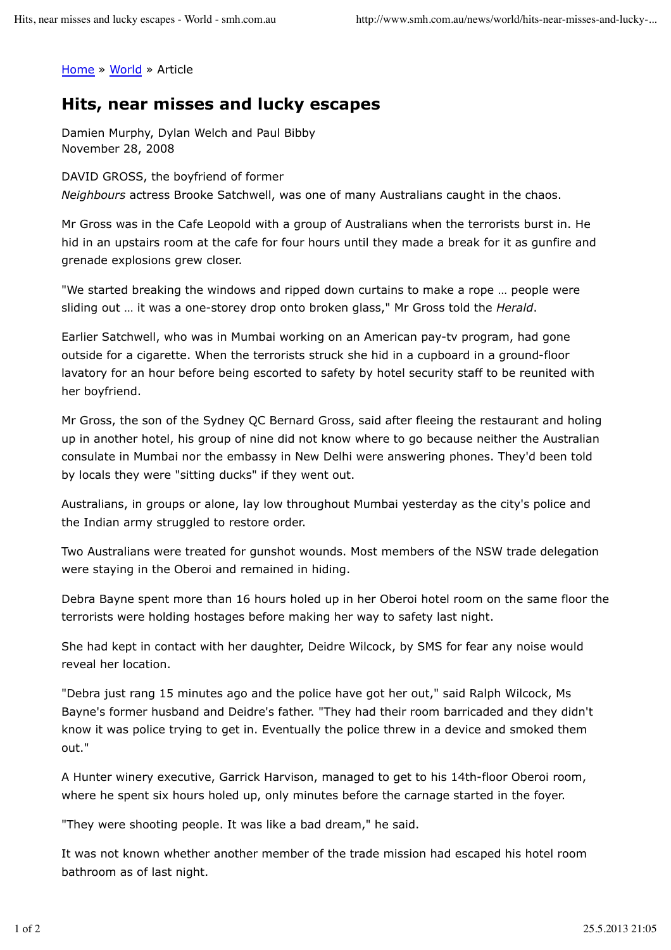Home » World » Article

## **Hits, near misses and lucky escapes**

Damien Murphy, Dylan Welch and Paul Bibby November 28, 2008

DAVID GROSS, the boyfriend of former *Neighbours* actress Brooke Satchwell, was one of many Australians caught in the chaos.

Mr Gross was in the Cafe Leopold with a group of Australians when the terrorists burst in. He hid in an upstairs room at the cafe for four hours until they made a break for it as gunfire and grenade explosions grew closer.

"We started breaking the windows and ripped down curtains to make a rope … people were sliding out … it was a one-storey drop onto broken glass," Mr Gross told the *Herald*.

Earlier Satchwell, who was in Mumbai working on an American pay-tv program, had gone outside for a cigarette. When the terrorists struck she hid in a cupboard in a ground-floor lavatory for an hour before being escorted to safety by hotel security staff to be reunited with her boyfriend.

Mr Gross, the son of the Sydney QC Bernard Gross, said after fleeing the restaurant and holing up in another hotel, his group of nine did not know where to go because neither the Australian consulate in Mumbai nor the embassy in New Delhi were answering phones. They'd been told by locals they were "sitting ducks" if they went out.

Australians, in groups or alone, lay low throughout Mumbai yesterday as the city's police and the Indian army struggled to restore order.

Two Australians were treated for gunshot wounds. Most members of the NSW trade delegation were staying in the Oberoi and remained in hiding.

Debra Bayne spent more than 16 hours holed up in her Oberoi hotel room on the same floor the terrorists were holding hostages before making her way to safety last night.

She had kept in contact with her daughter, Deidre Wilcock, by SMS for fear any noise would reveal her location.

"Debra just rang 15 minutes ago and the police have got her out," said Ralph Wilcock, Ms Bayne's former husband and Deidre's father. "They had their room barricaded and they didn't know it was police trying to get in. Eventually the police threw in a device and smoked them out."

A Hunter winery executive, Garrick Harvison, managed to get to his 14th-floor Oberoi room, where he spent six hours holed up, only minutes before the carnage started in the foyer.

"They were shooting people. It was like a bad dream," he said.

It was not known whether another member of the trade mission had escaped his hotel room bathroom as of last night.